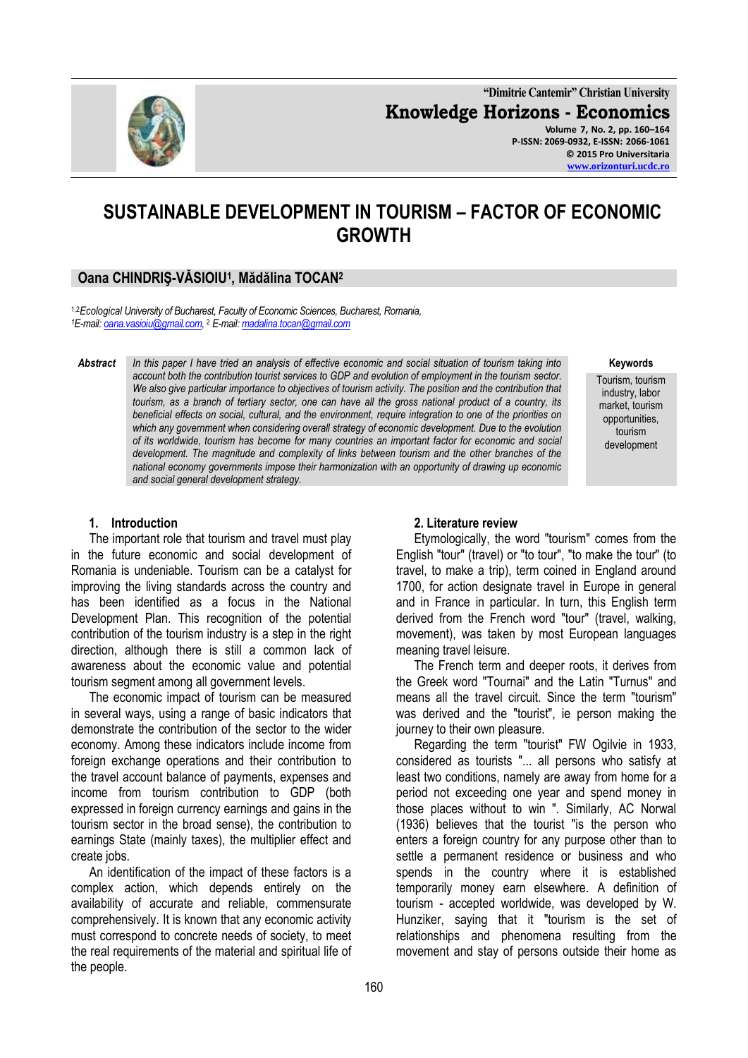**"Dimitrie Cantemir" Christian University Knowledge Horizons - Economics Volume 7, No. 2, pp. 160–164 P-ISSN: 2069-0932, E-ISSN: 2066-1061 © 2015 Pro Universitaria [www.orizonturi.ucdc.ro](http://www.orizonturi.ucdc.ro/)**

# **SUSTAINABLE DEVELOPMENT IN TOURISM – FACTOR OF ECONOMIC GROWTH**

# **Oana CHINDRIŞ-VĂSIOIU<sup>1</sup> , Mădălina TOCAN<sup>2</sup>**

1,2*Ecological University of Bucharest, Faculty of Economic Sciences, Bucharest, Romania, <sup>1</sup>E-mail[: oana.vasioiu@gmail.com,](mailto:oana.vasioiu@gmail.com)*  <sup>2</sup> *E-mail[: madalina.tocan@gmail.com](mailto:madalina.tocan@gmail.com)*

*Abstract In this paper I have tried an analysis of effective economic and social situation of tourism taking into account both the contribution tourist services to GDP and evolution of employment in the tourism sector. We also give particular importance to objectives of tourism activity. The position and the contribution that tourism, as a branch of tertiary sector, one can have all the gross national product of a country, its beneficial effects on social, cultural, and the environment, require integration to one of the priorities on which any government when considering overall strategy of economic development. Due to the evolution of its worldwide, tourism has become for many countries an important factor for economic and social development. The magnitude and complexity of links between tourism and the other branches of the national economy governments impose their harmonization with an opportunity of drawing up economic and social general development strategy.*

#### **1. Introduction**

The important role that tourism and travel must play in the future economic and social development of Romania is undeniable. Tourism can be a catalyst for improving the living standards across the country and has been identified as a focus in the National Development Plan. This recognition of the potential contribution of the tourism industry is a step in the right direction, although there is still a common lack of awareness about the economic value and potential tourism segment among all government levels.

The economic impact of tourism can be measured in several ways, using a range of basic indicators that demonstrate the contribution of the sector to the wider economy. Among these indicators include income from foreign exchange operations and their contribution to the travel account balance of payments, expenses and income from tourism contribution to GDP (both expressed in foreign currency earnings and gains in the tourism sector in the broad sense), the contribution to earnings State (mainly taxes), the multiplier effect and create jobs.

An identification of the impact of these factors is a complex action, which depends entirely on the availability of accurate and reliable, commensurate comprehensively. It is known that any economic activity must correspond to concrete needs of society, to meet the real requirements of the material and spiritual life of the people.

# **2. Literature review**

Etymologically, the word "tourism" comes from the English "tour" (travel) or "to tour", "to make the tour" (to travel, to make a trip), term coined in England around 1700, for action designate travel in Europe in general and in France in particular. In turn, this English term derived from the French word "tour" (travel, walking, movement), was taken by most European languages meaning travel leisure.

The French term and deeper roots, it derives from the Greek word "Tournai" and the Latin "Turnus" and means all the travel circuit. Since the term "tourism" was derived and the "tourist", ie person making the journey to their own pleasure.

Regarding the term "tourist" FW Ogilvie in 1933, considered as tourists "... all persons who satisfy at least two conditions, namely are away from home for a period not exceeding one year and spend money in those places without to win ". Similarly, AC Norwal (1936) believes that the tourist "is the person who enters a foreign country for any purpose other than to settle a permanent residence or business and who spends in the country where it is established temporarily money earn elsewhere. A definition of tourism - accepted worldwide, was developed by W. Hunziker, saying that it "tourism is the set of relationships and phenomena resulting from the movement and stay of persons outside their home as



**Keywords**

Tourism, tourism industry, labor market, tourism opportunities, tourism development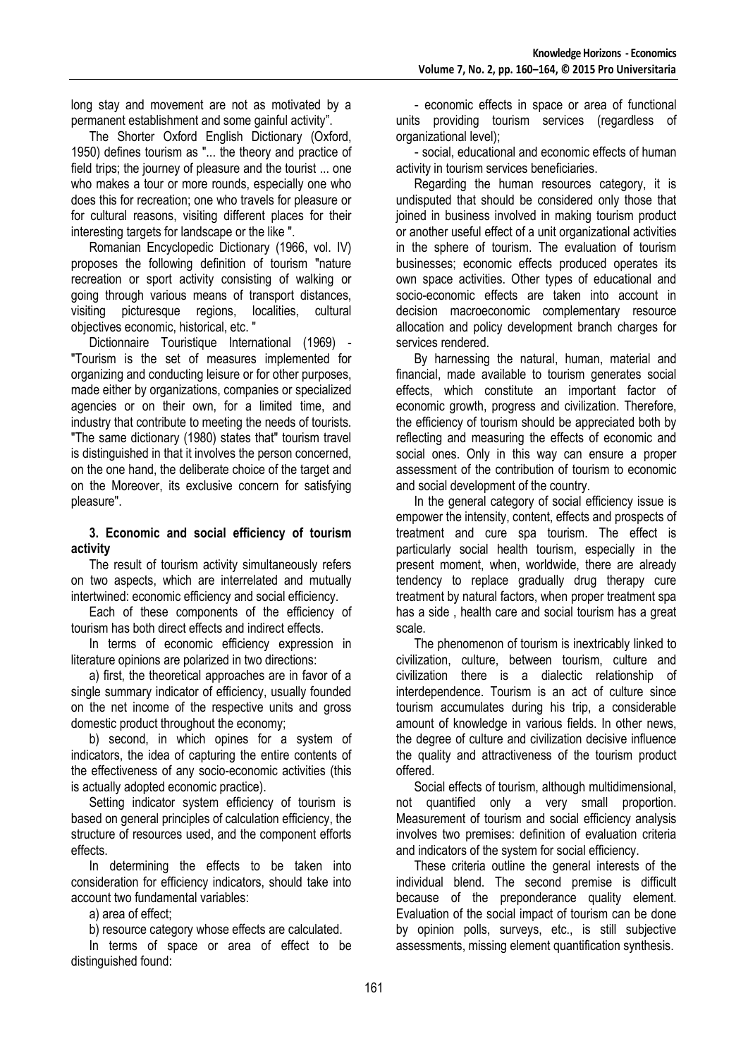long stay and movement are not as motivated by a permanent establishment and some gainful activity".

The Shorter Oxford English Dictionary (Oxford, 1950) defines tourism as "... the theory and practice of field trips; the journey of pleasure and the tourist ... one who makes a tour or more rounds, especially one who does this for recreation; one who travels for pleasure or for cultural reasons, visiting different places for their interesting targets for landscape or the like ".

Romanian Encyclopedic Dictionary (1966, vol. IV) proposes the following definition of tourism "nature recreation or sport activity consisting of walking or going through various means of transport distances, visiting picturesque regions, localities, cultural objectives economic, historical, etc. "

Dictionnaire Touristique International (1969) - "Tourism is the set of measures implemented for organizing and conducting leisure or for other purposes, made either by organizations, companies or specialized agencies or on their own, for a limited time, and industry that contribute to meeting the needs of tourists. "The same dictionary (1980) states that" tourism travel is distinguished in that it involves the person concerned, on the one hand, the deliberate choice of the target and on the Moreover, its exclusive concern for satisfying pleasure".

#### **3. Economic and social efficiency of tourism activity**

The result of tourism activity simultaneously refers on two aspects, which are interrelated and mutually intertwined: economic efficiency and social efficiency.

Each of these components of the efficiency of tourism has both direct effects and indirect effects.

In terms of economic efficiency expression in literature opinions are polarized in two directions:

a) first, the theoretical approaches are in favor of a single summary indicator of efficiency, usually founded on the net income of the respective units and gross domestic product throughout the economy;

b) second, in which opines for a system of indicators, the idea of capturing the entire contents of the effectiveness of any socio-economic activities (this is actually adopted economic practice).

Setting indicator system efficiency of tourism is based on general principles of calculation efficiency, the structure of resources used, and the component efforts effects.

In determining the effects to be taken into consideration for efficiency indicators, should take into account two fundamental variables:

a) area of effect;

b) resource category whose effects are calculated.

In terms of space or area of effect to be distinguished found:

- economic effects in space or area of functional units providing tourism services (regardless of organizational level);

- social, educational and economic effects of human activity in tourism services beneficiaries.

Regarding the human resources category, it is undisputed that should be considered only those that joined in business involved in making tourism product or another useful effect of a unit organizational activities in the sphere of tourism. The evaluation of tourism businesses; economic effects produced operates its own space activities. Other types of educational and socio-economic effects are taken into account in decision macroeconomic complementary resource allocation and policy development branch charges for services rendered.

By harnessing the natural, human, material and financial, made available to tourism generates social effects, which constitute an important factor of economic growth, progress and civilization. Therefore, the efficiency of tourism should be appreciated both by reflecting and measuring the effects of economic and social ones. Only in this way can ensure a proper assessment of the contribution of tourism to economic and social development of the country.

In the general category of social efficiency issue is empower the intensity, content, effects and prospects of treatment and cure spa tourism. The effect is particularly social health tourism, especially in the present moment, when, worldwide, there are already tendency to replace gradually drug therapy cure treatment by natural factors, when proper treatment spa has a side , health care and social tourism has a great scale.

The phenomenon of tourism is inextricably linked to civilization, culture, between tourism, culture and civilization there is a dialectic relationship of interdependence. Tourism is an act of culture since tourism accumulates during his trip, a considerable amount of knowledge in various fields. In other news, the degree of culture and civilization decisive influence the quality and attractiveness of the tourism product offered.

Social effects of tourism, although multidimensional, not quantified only a very small proportion. Measurement of tourism and social efficiency analysis involves two premises: definition of evaluation criteria and indicators of the system for social efficiency.

These criteria outline the general interests of the individual blend. The second premise is difficult because of the preponderance quality element. Evaluation of the social impact of tourism can be done by opinion polls, surveys, etc., is still subjective assessments, missing element quantification synthesis.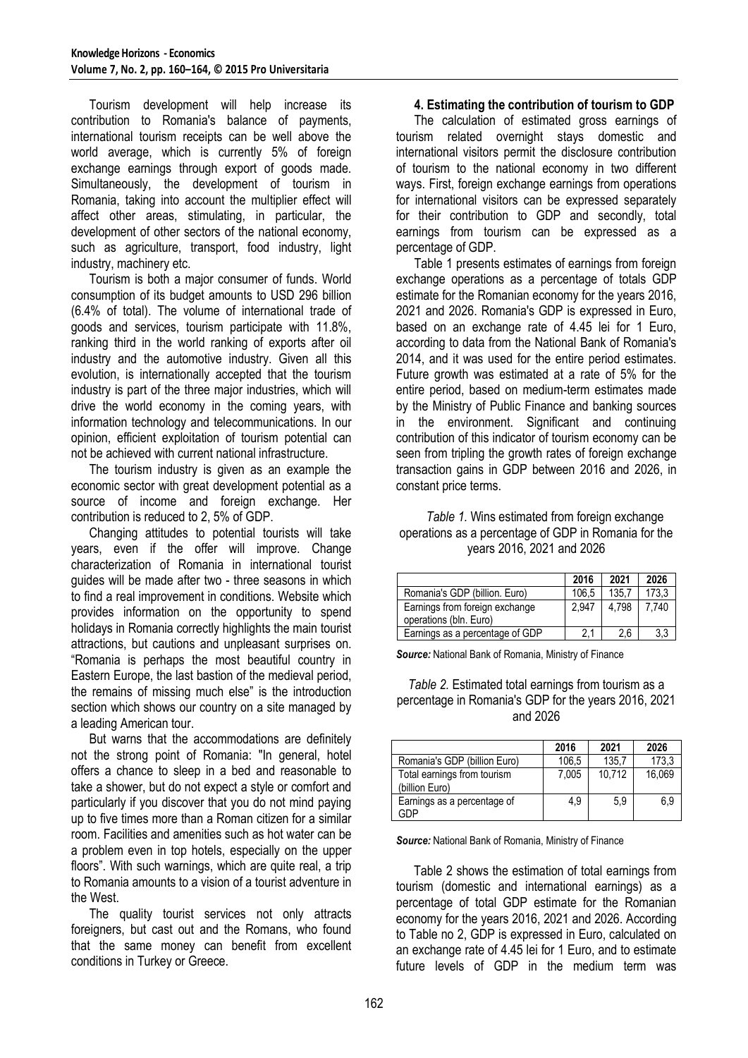Tourism development will help increase its contribution to Romania's balance of payments, international tourism receipts can be well above the world average, which is currently 5% of foreign exchange earnings through export of goods made. Simultaneously, the development of tourism in Romania, taking into account the multiplier effect will affect other areas, stimulating, in particular, the development of other sectors of the national economy, such as agriculture, transport, food industry, light industry, machinery etc.

Tourism is both a major consumer of funds. World consumption of its budget amounts to USD 296 billion (6.4% of total). The volume of international trade of goods and services, tourism participate with 11.8%, ranking third in the world ranking of exports after oil industry and the automotive industry. Given all this evolution, is internationally accepted that the tourism industry is part of the three major industries, which will drive the world economy in the coming years, with information technology and telecommunications. In our opinion, efficient exploitation of tourism potential can not be achieved with current national infrastructure.

The tourism industry is given as an example the economic sector with great development potential as a source of income and foreign exchange. Her contribution is reduced to 2, 5% of GDP.

Changing attitudes to potential tourists will take years, even if the offer will improve. Change characterization of Romania in international tourist guides will be made after two - three seasons in which to find a real improvement in conditions. Website which provides information on the opportunity to spend holidays in Romania correctly highlights the main tourist attractions, but cautions and unpleasant surprises on. "Romania is perhaps the most beautiful country in Eastern Europe, the last bastion of the medieval period, the remains of missing much else" is the introduction section which shows our country on a site managed by a leading American tour.

But warns that the accommodations are definitely not the strong point of Romania: "In general, hotel offers a chance to sleep in a bed and reasonable to take a shower, but do not expect a style or comfort and particularly if you discover that you do not mind paying up to five times more than a Roman citizen for a similar room. Facilities and amenities such as hot water can be a problem even in top hotels, especially on the upper floors". With such warnings, which are quite real, a trip to Romania amounts to a vision of a tourist adventure in the West.

The quality tourist services not only attracts foreigners, but cast out and the Romans, who found that the same money can benefit from excellent conditions in Turkey or Greece.

# **4. Estimating the contribution of tourism to GDP**

The calculation of estimated gross earnings of tourism related overnight stays domestic and international visitors permit the disclosure contribution of tourism to the national economy in two different ways. First, foreign exchange earnings from operations for international visitors can be expressed separately for their contribution to GDP and secondly, total earnings from tourism can be expressed as a percentage of GDP.

Table 1 presents estimates of earnings from foreign exchange operations as a percentage of totals GDP estimate for the Romanian economy for the years 2016, 2021 and 2026. Romania's GDP is expressed in Euro, based on an exchange rate of 4.45 lei for 1 Euro, according to data from the National Bank of Romania's 2014, and it was used for the entire period estimates. Future growth was estimated at a rate of 5% for the entire period, based on medium-term estimates made by the Ministry of Public Finance and banking sources in the environment. Significant and continuing contribution of this indicator of tourism economy can be seen from tripling the growth rates of foreign exchange transaction gains in GDP between 2016 and 2026, in constant price terms.

*Table 1.* Wins estimated from foreign exchange operations as a percentage of GDP in Romania for the years 2016, 2021 and 2026

|                                                          | 2016  | 2021  | 2026  |
|----------------------------------------------------------|-------|-------|-------|
| Romania's GDP (billion. Euro)                            | 106.5 | 135.7 | 173.3 |
| Earnings from foreign exchange<br>operations (bln. Euro) | 2.947 | 4.798 | 7.740 |
| Earnings as a percentage of GDP                          | 2.1   | 2.6   | 3.3   |

*Source:* National Bank of Romania, Ministry of Finance

*Table 2.* Estimated total earnings from tourism as a percentage in Romania's GDP for the years 2016, 2021 and 2026

|                                               | 2016  | 2021   | 2026   |
|-----------------------------------------------|-------|--------|--------|
| Romania's GDP (billion Euro)                  | 106,5 | 135,7  | 173,3  |
| Total earnings from tourism<br>(billion Euro) | 7,005 | 10,712 | 16.069 |
| Earnings as a percentage of<br>GDP            | 4,9   | 5,9    | 6.9    |

*Source:* National Bank of Romania, Ministry of Finance

Table 2 shows the estimation of total earnings from tourism (domestic and international earnings) as a percentage of total GDP estimate for the Romanian economy for the years 2016, 2021 and 2026. According to Table no 2, GDP is expressed in Euro, calculated on an exchange rate of 4.45 lei for 1 Euro, and to estimate future levels of GDP in the medium term was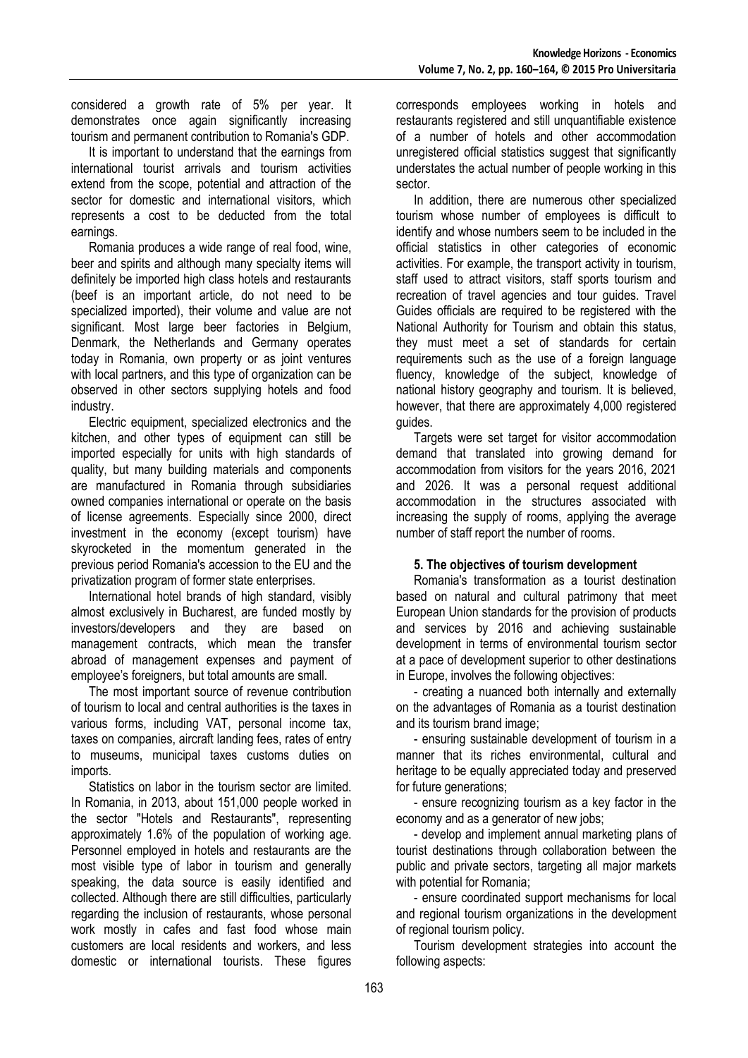considered a growth rate of 5% per year. It demonstrates once again significantly increasing tourism and permanent contribution to Romania's GDP.

It is important to understand that the earnings from international tourist arrivals and tourism activities extend from the scope, potential and attraction of the sector for domestic and international visitors, which represents a cost to be deducted from the total earnings.

Romania produces a wide range of real food, wine, beer and spirits and although many specialty items will definitely be imported high class hotels and restaurants (beef is an important article, do not need to be specialized imported), their volume and value are not significant. Most large beer factories in Belgium, Denmark, the Netherlands and Germany operates today in Romania, own property or as joint ventures with local partners, and this type of organization can be observed in other sectors supplying hotels and food industry.

Electric equipment, specialized electronics and the kitchen, and other types of equipment can still be imported especially for units with high standards of quality, but many building materials and components are manufactured in Romania through subsidiaries owned companies international or operate on the basis of license agreements. Especially since 2000, direct investment in the economy (except tourism) have skyrocketed in the momentum generated in the previous period Romania's accession to the EU and the privatization program of former state enterprises.

International hotel brands of high standard, visibly almost exclusively in Bucharest, are funded mostly by investors/developers and they are based on management contracts, which mean the transfer abroad of management expenses and payment of employee's foreigners, but total amounts are small.

The most important source of revenue contribution of tourism to local and central authorities is the taxes in various forms, including VAT, personal income tax, taxes on companies, aircraft landing fees, rates of entry to museums, municipal taxes customs duties on imports.

Statistics on labor in the tourism sector are limited. In Romania, in 2013, about 151,000 people worked in the sector "Hotels and Restaurants", representing approximately 1.6% of the population of working age. Personnel employed in hotels and restaurants are the most visible type of labor in tourism and generally speaking, the data source is easily identified and collected. Although there are still difficulties, particularly regarding the inclusion of restaurants, whose personal work mostly in cafes and fast food whose main customers are local residents and workers, and less domestic or international tourists. These figures

corresponds employees working in hotels and restaurants registered and still unquantifiable existence of a number of hotels and other accommodation unregistered official statistics suggest that significantly understates the actual number of people working in this sector.

In addition, there are numerous other specialized tourism whose number of employees is difficult to identify and whose numbers seem to be included in the official statistics in other categories of economic activities. For example, the transport activity in tourism, staff used to attract visitors, staff sports tourism and recreation of travel agencies and tour guides. Travel Guides officials are required to be registered with the National Authority for Tourism and obtain this status, they must meet a set of standards for certain requirements such as the use of a foreign language fluency, knowledge of the subject, knowledge of national history geography and tourism. It is believed, however, that there are approximately 4,000 registered guides.

Targets were set target for visitor accommodation demand that translated into growing demand for accommodation from visitors for the years 2016, 2021 and 2026. It was a personal request additional accommodation in the structures associated with increasing the supply of rooms, applying the average number of staff report the number of rooms.

# **5. The objectives of tourism development**

Romania's transformation as a tourist destination based on natural and cultural patrimony that meet European Union standards for the provision of products and services by 2016 and achieving sustainable development in terms of environmental tourism sector at a pace of development superior to other destinations in Europe, involves the following objectives:

- creating a nuanced both internally and externally on the advantages of Romania as a tourist destination and its tourism brand image;

- ensuring sustainable development of tourism in a manner that its riches environmental, cultural and heritage to be equally appreciated today and preserved for future generations;

- ensure recognizing tourism as a key factor in the economy and as a generator of new jobs;

- develop and implement annual marketing plans of tourist destinations through collaboration between the public and private sectors, targeting all major markets with potential for Romania;

- ensure coordinated support mechanisms for local and regional tourism organizations in the development of regional tourism policy.

Tourism development strategies into account the following aspects: